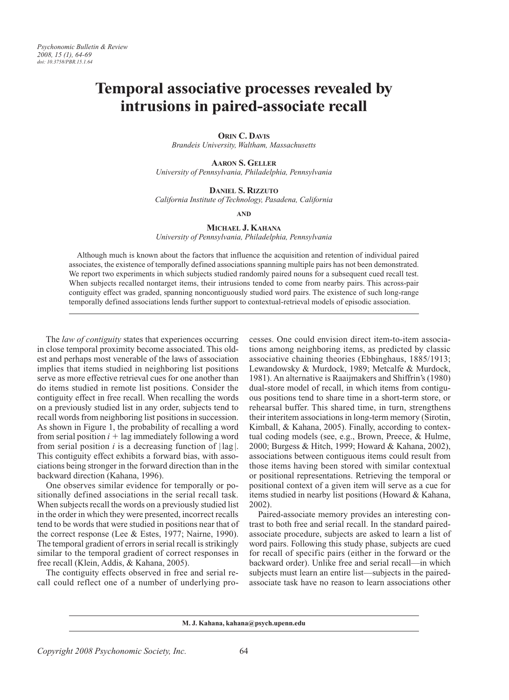# **Temporal associative processes revealed by intrusions in paired-associate recall**

**Orin C. Davis**

*Brandeis University, Waltham, Massachusetts*

**Aaron S. Geller** *University of Pennsylvania, Philadelphia, Pennsylvania*

**Daniel S. Rizzuto** *California Institute of Technology, Pasadena, California*

**and**

# **Michael J. Kahana**

*University of Pennsylvania, Philadelphia, Pennsylvania*

Although much is known about the factors that influence the acquisition and retention of individual paired associates, the existence of temporally defined associations spanning multiple pairs has not been demonstrated. We report two experiments in which subjects studied randomly paired nouns for a subsequent cued recall test. When subjects recalled nontarget items, their intrusions tended to come from nearby pairs. This across-pair contiguity effect was graded, spanning noncontiguously studied word pairs. The existence of such long-range temporally defined associations lends further support to contextual-retrieval models of episodic association.

The *law of contiguity* states that experiences occurring in close temporal proximity become associated. This oldest and perhaps most venerable of the laws of association implies that items studied in neighboring list positions serve as more effective retrieval cues for one another than do items studied in remote list positions. Consider the contiguity effect in free recall. When recalling the words on a previously studied list in any order, subjects tend to recall words from neighboring list positions in succession. As shown in Figure 1, the probability of recalling a word from serial position  $i + \log$  immediately following a word from serial position  $i$  is a decreasing function of  $|\log|$ . This contiguity effect exhibits a forward bias, with associations being stronger in the forward direction than in the backward direction (Kahana, 1996).

One observes similar evidence for temporally or positionally defined associations in the serial recall task. When subjects recall the words on a previously studied list in the order in which they were presented, incorrect recalls tend to be words that were studied in positions near that of the correct response (Lee & Estes, 1977; Nairne, 1990). The temporal gradient of errors in serial recall is strikingly similar to the temporal gradient of correct responses in free recall (Klein, Addis, & Kahana, 2005).

The contiguity effects observed in free and serial recall could reflect one of a number of underlying processes. One could envision direct item-to-item associations among neighboring items, as predicted by classic associative chaining theories (Ebbinghaus, 1885/1913; Lewandowsky & Murdock, 1989; Metcalfe & Murdock, 1981). An alternative is Raaijmakers and Shiffrin's (1980) dual-store model of recall, in which items from contiguous positions tend to share time in a short-term store, or rehearsal buffer. This shared time, in turn, strengthens their interitem associations in long-term memory (Sirotin, Kimball, & Kahana, 2005). Finally, according to contextual coding models (see, e.g., Brown, Preece, & Hulme, 2000; Burgess & Hitch, 1999; Howard & Kahana, 2002), associations between contiguous items could result from those items having been stored with similar contextual or positional representations. Retrieving the temporal or positional context of a given item will serve as a cue for items studied in nearby list positions (Howard & Kahana, 2002).

Paired-associate memory provides an interesting contrast to both free and serial recall. In the standard pairedassociate procedure, subjects are asked to learn a list of word pairs. Following this study phase, subjects are cued for recall of specific pairs (either in the forward or the backward order). Unlike free and serial recall—in which subjects must learn an entire list—subjects in the pairedassociate task have no reason to learn associations other

**M. J. Kahana, kahana@psych.upenn.edu**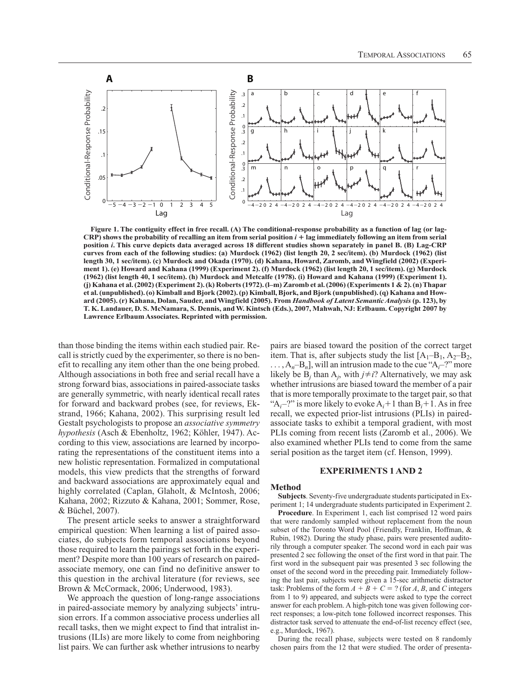

**Figure 1. The contiguity effect in free recall. (A) The conditional-response probability as a function of lag (or lag-CRP) shows the probability of recalling an item from serial position** *i* 1 **lag immediately following an item from serial position** *i***. This curve depicts data averaged across 18 different studies shown separately in panel B. (B) Lag-CRP curves from each of the following studies: (a) Murdock (1962) (list length 20, 2 sec/item). (b) Murdock (1962) (list length 30, 1 sec/item). (c) Murdock and Okada (1970). (d) Kahana, Howard, Zaromb, and Wingfield (2002) (Experiment 1). (e) Howard and Kahana (1999) (Experiment 2). (f) Murdock (1962) (list length 20, 1 sec/item). (g) Murdock (1962) (list length 40, 1 sec/item). (h) Murdock and Metcalfe (1978). (i) Howard and Kahana (1999) (Experiment 1). (j) Kahana et al. (2002) (Experiment 2). (k) Roberts (1972). (l–m) Zaromb et al. (2006) (Experiments 1 & 2). (n)Thapar et al. (unpublished). (o) Kimball and Bjork (2002). (p) Kimball, Bjork, and Bjork (unpublished). (q) Kahana and Howard (2005). (r) Kahana, Dolan, Sauder, and Wingfield (2005). From** *Handbook of Latent Semantic Analysis* **(p. 123), by T. K. Landauer, D. S. McNamara, S. Dennis, and W. Kintsch (Eds.), 2007, Mahwah, NJ: Erlbaum. Copyright 2007 by Lawrence Erlbaum Associates. Reprinted with permission.**

than those binding the items within each studied pair. Recall is strictly cued by the experimenter, so there is no benefit to recalling any item other than the one being probed. Although associations in both free and serial recall have a strong forward bias, associations in paired-associate tasks are generally symmetric, with nearly identical recall rates for forward and backward probes (see, for reviews, Ekstrand, 1966; Kahana, 2002). This surprising result led Gestalt psychologists to propose an *associative symmetry hypothesis* (Asch & Ebenholtz, 1962; Köhler, 1947). According to this view, associations are learned by incorporating the representations of the constituent items into a new holistic representation. Formalized in computational models, this view predicts that the strengths of forward and backward associations are approximately equal and highly correlated (Caplan, Glaholt, & McIntosh, 2006; Kahana, 2002; Rizzuto & Kahana, 2001; Sommer, Rose, & Büchel, 2007).

The present article seeks to answer a straightforward empirical question: When learning a list of paired associates, do subjects form temporal associations beyond those required to learn the pairings set forth in the experiment? Despite more than 100 years of research on pairedassociate memory, one can find no definitive answer to this question in the archival literature (for reviews, see Brown & McCormack, 2006; Underwood, 1983).

We approach the question of long-range associations in paired-associate memory by analyzing subjects' intrusion errors. If a common associative process underlies all recall tasks, then we might expect to find that intralist intrusions (ILIs) are more likely to come from neighboring list pairs. We can further ask whether intrusions to nearby

pairs are biased toward the position of the correct target item. That is, after subjects study the list  $[A_1-B_1, A_2-B_2,$  $\ldots$ ,  $A_n-B_n$ ], will an intrusion made to the cue " $A_i$ -?" more likely be  $B_j$  than  $A_j$ , with  $j \neq i$ ? Alternatively, we may ask whether intrusions are biased toward the member of a pair that is more temporally proximate to the target pair, so that " $A_i$ –?" is more likely to evoke  $A_i$ +1 than  $B_i$ +1. As in free recall, we expected prior-list intrusions (PLIs) in pairedassociate tasks to exhibit a temporal gradient, with most PLIs coming from recent lists (Zaromb et al., 2006). We also examined whether PLIs tend to come from the same serial position as the target item (cf. Henson, 1999).

## **Experiments 1 and 2**

#### **Method**

**Subjects**. Seventy-five undergraduate students participated in Experiment 1; 14 undergraduate students participated in Experiment 2.

**Procedure**. In Experiment 1, each list comprised 12 word pairs that were randomly sampled without replacement from the noun subset of the Toronto Word Pool (Friendly, Franklin, Hoffman, & Rubin, 1982). During the study phase, pairs were presented auditorily through a computer speaker. The second word in each pair was presented 2 sec following the onset of the first word in that pair. The first word in the subsequent pair was presented 3 sec following the onset of the second word in the preceding pair. Immediately following the last pair, subjects were given a 15-sec arithmetic distractor task: Problems of the form  $A + B + C = ?$  (for *A*, *B*, and *C* integers from 1 to 9) appeared, and subjects were asked to type the correct answer for each problem. A high-pitch tone was given following correct responses; a low-pitch tone followed incorrect responses. This distractor task served to attenuate the end-of-list recency effect (see, e.g., Murdock, 1967).

During the recall phase, subjects were tested on 8 randomly chosen pairs from the 12 that were studied. The order of presenta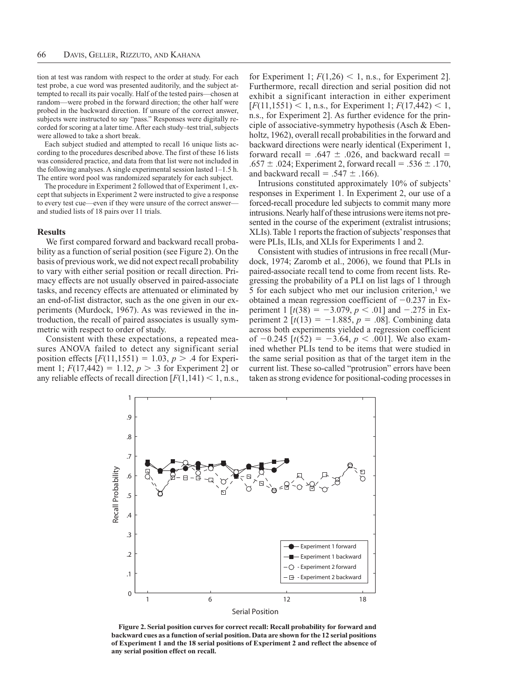tion at test was random with respect to the order at study. For each test probe, a cue word was presented auditorily, and the subject attempted to recall its pair vocally. Half of the tested pairs—chosen at random—were probed in the forward direction; the other half were probed in the backward direction. If unsure of the correct answer, subjects were instructed to say "pass." Responses were digitally recorded for scoring at a later time. After each study–test trial, subjects were allowed to take a short break.

Each subject studied and attempted to recall 16 unique lists according to the procedures described above. The first of these 16 lists was considered practice, and data from that list were not included in the following analyses. A single experimental session lasted 1–1.5 h. The entire word pool was randomized separately for each subject.

The procedure in Experiment 2 followed that of Experiment 1, except that subjects in Experiment 2 were instructed to give a response to every test cue—even if they were unsure of the correct answerand studied lists of 18 pairs over 11 trials.

# **Results**

We first compared forward and backward recall probability as a function of serial position (see Figure 2). On the basis of previous work, we did not expect recall probability to vary with either serial position or recall direction. Primacy effects are not usually observed in paired-associate tasks, and recency effects are attenuated or eliminated by an end-of-list distractor, such as the one given in our experiments (Murdock, 1967). As was reviewed in the introduction, the recall of paired associates is usually symmetric with respect to order of study.

Consistent with these expectations, a repeated measures ANOVA failed to detect any significant serial position effects  $[F(11,1551) = 1.03, p > .4$  for Experiment 1;  $F(17,442) = 1.12, p > .3$  for Experiment 2] or any reliable effects of recall direction  $[F(1,141) < 1, n.s.,]$ 

for Experiment 1;  $F(1,26) < 1$ , n.s., for Experiment 2]. Furthermore, recall direction and serial position did not exhibit a significant interaction in either experiment  $[F(11,1551)$  < 1, n.s., for Experiment 1;  $F(17,442)$  < 1, n.s., for Experiment 2]. As further evidence for the principle of associative-symmetry hypothesis (Asch & Ebenholtz, 1962), overall recall probabilities in the forward and backward directions were nearly identical (Experiment 1, forward recall = .647  $\pm$  .026, and backward recall = .657  $\pm$  .024; Experiment 2, forward recall = .536  $\pm$  .170, and backward recall = .547  $\pm$  .166).

Intrusions constituted approximately 10% of subjects' responses in Experiment 1. In Experiment 2, our use of a forced-recall procedure led subjects to commit many more intrusions. Nearly half of these intrusions were items not presented in the course of the experiment (extralist intrusions; XLIs). Table 1 reports the fraction of subjects' responses that were PLIs, ILIs, and XLIs for Experiments 1 and 2.

Consistent with studies of intrusions in free recall (Murdock, 1974; Zaromb et al., 2006), we found that PLIs in paired-associate recall tend to come from recent lists. Regressing the probability of a PLI on list lags of 1 through 5 for each subject who met our inclusion criterion,<sup>1</sup> we obtained a mean regression coefficient of  $-0.237$  in Experiment 1  $[t(38) = -3.079, p < .01]$  and  $-.275$  in Experiment 2  $[t(13) = -1.885, p = .08]$ . Combining data across both experiments yielded a regression coefficient of  $-0.245$   $[t(52) = -3.64, p < .001]$ . We also examined whether PLIs tend to be items that were studied in the same serial position as that of the target item in the current list. These so-called "protrusion" errors have been taken as strong evidence for positional-coding processes in



**Figure 2. Serial position curves for correct recall: Recall probability for forward and backward cues as a function of serial position. Data are shown for the 12 serial positions of Experiment 1 and the 18 serial positions of Experiment 2 and reflect the absence of any serial position effect on recall.**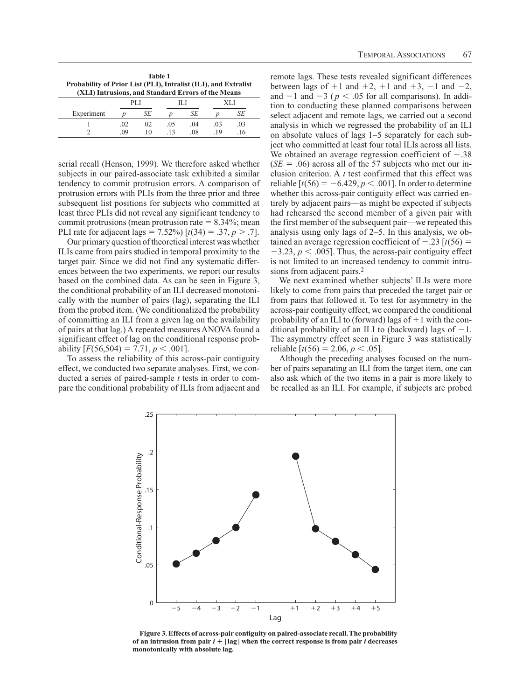| <b>Table 1</b><br>Probability of Prior List (PLI), Intralist (ILI), and Extralist<br>(XLI) Intrusions, and Standard Errors of the Means |          |    |    |    |      |    |
|-----------------------------------------------------------------------------------------------------------------------------------------|----------|----|----|----|------|----|
|                                                                                                                                         | PL J     |    | ШЛ |    | XLI. |    |
| Experiment                                                                                                                              |          | SE |    | SE |      | SE |
|                                                                                                                                         | $\Gamma$ |    | 05 |    |      |    |

2 .09 .10 .13 .08 .19 .16

serial recall (Henson, 1999). We therefore asked whether subjects in our paired-associate task exhibited a similar tendency to commit protrusion errors. A comparison of protrusion errors with PLIs from the three prior and three subsequent list positions for subjects who committed at least three PLIs did not reveal any significant tendency to commit protrusions (mean protrusion rate  $= 8.34\%$ ; mean PLI rate for adjacent lags = 7.52%)  $[t(34) = .37, p > .7]$ .

Our primary question of theoretical interest was whether ILIs came from pairs studied in temporal proximity to the target pair. Since we did not find any systematic differences between the two experiments, we report our results based on the combined data. As can be seen in Figure 3, the conditional probability of an ILI decreased monotonically with the number of pairs (lag), separating the ILI from the probed item. (We conditionalized the probability of committing an ILI from a given lag on the availability of pairs at that lag.) A repeated measures ANOVA found a significant effect of lag on the conditional response probability  $[F(56,504) = 7.71, p < .001]$ .

To assess the reliability of this across-pair contiguity effect, we conducted two separate analyses. First, we conducted a series of paired-sample *t* tests in order to compare the conditional probability of ILIs from adjacent and

remote lags. These tests revealed significant differences between lags of  $+1$  and  $+2$ ,  $+1$  and  $+3$ ,  $-1$  and  $-2$ , and  $-1$  and  $-3$  ( $p < .05$  for all comparisons). In addition to conducting these planned comparisons between select adjacent and remote lags, we carried out a second analysis in which we regressed the probability of an ILI on absolute values of lags 1–5 separately for each subject who committed at least four total ILIs across all lists. We obtained an average regression coefficient of  $-.38$  $(SE = .06)$  across all of the 57 subjects who met our inclusion criterion. A *t* test confirmed that this effect was reliable  $[t(56) = -6.429, p < .001]$ . In order to determine whether this across-pair contiguity effect was carried entirely by adjacent pairs—as might be expected if subjects had rehearsed the second member of a given pair with the first member of the subsequent pair—we repeated this analysis using only lags of 2–5. In this analysis, we obtained an average regression coefficient of  $-.23$  [ $t(56)$  =  $-3.23$ ,  $p < .005$ ]. Thus, the across-pair contiguity effect is not limited to an increased tendency to commit intrusions from adjacent pairs.2

We next examined whether subjects' ILIs were more likely to come from pairs that preceded the target pair or from pairs that followed it. To test for asymmetry in the across-pair contiguity effect, we compared the conditional probability of an ILI to (forward) lags of  $+1$  with the conditional probability of an ILI to (backward) lags of  $-1$ . The asymmetry effect seen in Figure 3 was statistically reliable  $[t(56) = 2.06, p < .05]$ .

Although the preceding analyses focused on the number of pairs separating an ILI from the target item, one can also ask which of the two items in a pair is more likely to be recalled as an ILI. For example, if subjects are probed



**Figure 3. Effects of across-pair contiguity on paired-associate recall. The probability**  of an intrusion from pair  $i + |\log|$  when the correct response is from pair  $i$  decreases **monotonically with absolute lag.**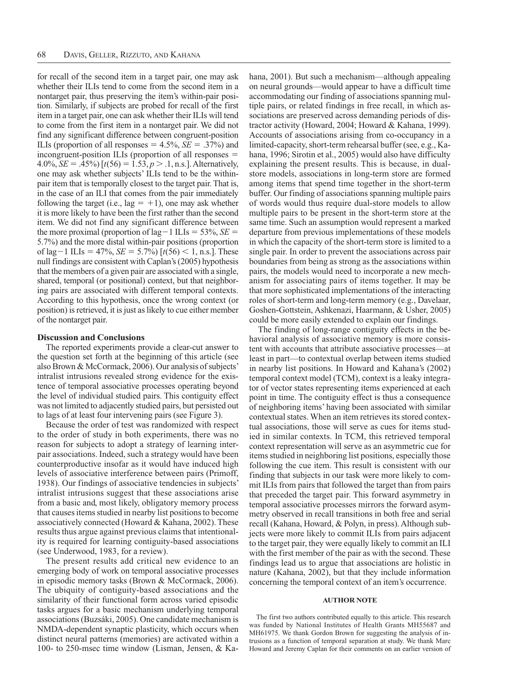for recall of the second item in a target pair, one may ask whether their ILIs tend to come from the second item in a nontarget pair, thus preserving the item's within-pair position. Similarly, if subjects are probed for recall of the first item in a target pair, one can ask whether their ILIs will tend to come from the first item in a nontarget pair. We did not find any significant difference between congruent-position ILIs (proportion of all responses  $= 4.5\%$ , *SE*  $= .37\%$ ) and incongruent-position ILIs (proportion of all responses  $=$ 4.0%,  $SE = .45\%$  [ $t(56) = 1.53$ ,  $p > .1$ , n.s.]. Alternatively, one may ask whether subjects' ILIs tend to be the withinpair item that is temporally closest to the target pair. That is, in the case of an ILI that comes from the pair immediately following the target (i.e.,  $lag = +1$ ), one may ask whether it is more likely to have been the first rather than the second item. We did not find any significant difference between the more proximal (proportion of  $lag-1$  ILIs = 53%, *SE* = 5.7%) and the more distal within-pair positions (proportion of lag-1 ILIs = 47%, *SE* = 5.7%)  $[t(56) < 1, n.s.]$ . These null findings are consistent with Caplan's (2005) hypothesis that the members of a given pair are associated with a single, shared, temporal (or positional) context, but that neighboring pairs are associated with different temporal contexts. According to this hypothesis, once the wrong context (or position) is retrieved, it is just as likely to cue either member of the nontarget pair.

## **Discussion and Conclusions**

The reported experiments provide a clear-cut answer to the question set forth at the beginning of this article (see also Brown & McCormack, 2006). Our analysis of subjects' intralist intrusions revealed strong evidence for the existence of temporal associative processes operating beyond the level of individual studied pairs. This contiguity effect was not limited to adjacently studied pairs, but persisted out to lags of at least four intervening pairs (see Figure 3).

Because the order of test was randomized with respect to the order of study in both experiments, there was no reason for subjects to adopt a strategy of learning interpair associations. Indeed, such a strategy would have been counterproductive insofar as it would have induced high levels of associative interference between pairs (Primoff, 1938). Our findings of associative tendencies in subjects' intralist intrusions suggest that these associations arise from a basic and, most likely, obligatory memory process that causes items studied in nearby list positions to become associatively connected (Howard & Kahana, 2002). These results thus argue against previous claims that intentionality is required for learning contiguity-based associations (see Underwood, 1983, for a review).

The present results add critical new evidence to an emerging body of work on temporal associative processes in episodic memory tasks (Brown & McCormack, 2006). The ubiquity of contiguity-based associations and the similarity of their functional form across varied episodic tasks argues for a basic mechanism underlying temporal associations (Buzsáki, 2005). One candidate mechanism is NMDA-dependent synaptic plasticity, which occurs when distinct neural patterns (memories) are activated within a 100- to 250-msec time window (Lisman, Jensen, & Kahana, 2001). But such a mechanism—although appealing on neural grounds—would appear to have a difficult time accommodating our finding of associations spanning multiple pairs, or related findings in free recall, in which associations are preserved across demanding periods of distractor activity (Howard, 2004; Howard & Kahana, 1999). Accounts of associations arising from co-occupancy in a limited-capacity, short-term rehearsal buffer (see, e.g., Kahana, 1996; Sirotin et al., 2005) would also have difficulty explaining the present results. This is because, in dualstore models, associations in long-term store are formed among items that spend time together in the short-term buffer. Our finding of associations spanning multiple pairs of words would thus require dual-store models to allow multiple pairs to be present in the short-term store at the same time. Such an assumption would represent a marked departure from previous implementations of these models in which the capacity of the short-term store is limited to a single pair. In order to prevent the associations across pair boundaries from being as strong as the associations within pairs, the models would need to incorporate a new mechanism for associating pairs of items together. It may be that more sophisticated implementations of the interacting roles of short-term and long-term memory (e.g., Davelaar, Goshen-Gottstein, Ashkenazi, Haarmann, & Usher, 2005) could be more easily extended to explain our findings.

The finding of long-range contiguity effects in the behavioral analysis of associative memory is more consistent with accounts that attribute associative processes—at least in part—to contextual overlap between items studied in nearby list positions. In Howard and Kahana's (2002) temporal context model (TCM), context is a leaky integrator of vector states representing items experienced at each point in time. The contiguity effect is thus a consequence of neighboring items' having been associated with similar contextual states. When an item retrieves its stored contextual associations, those will serve as cues for items studied in similar contexts. In TCM, this retrieved temporal context representation will serve as an asymmetric cue for items studied in neighboring list positions, especially those following the cue item. This result is consistent with our finding that subjects in our task were more likely to commit ILIs from pairs that followed the target than from pairs that preceded the target pair. This forward asymmetry in temporal associative processes mirrors the forward asymmetry observed in recall transitions in both free and serial recall (Kahana, Howard, & Polyn, in press). Although subjects were more likely to commit ILIs from pairs adjacent to the target pair, they were equally likely to commit an ILI with the first member of the pair as with the second. These findings lead us to argue that associations are holistic in nature (Kahana, 2002), but that they include information concerning the temporal context of an item's occurrence.

### **Author Note**

The first two authors contributed equally to this article. This research was funded by National Institutes of Health Grants MH55687 and MH61975. We thank Gordon Brown for suggesting the analysis of intrusions as a function of temporal separation at study. We thank Marc Howard and Jeremy Caplan for their comments on an earlier version of